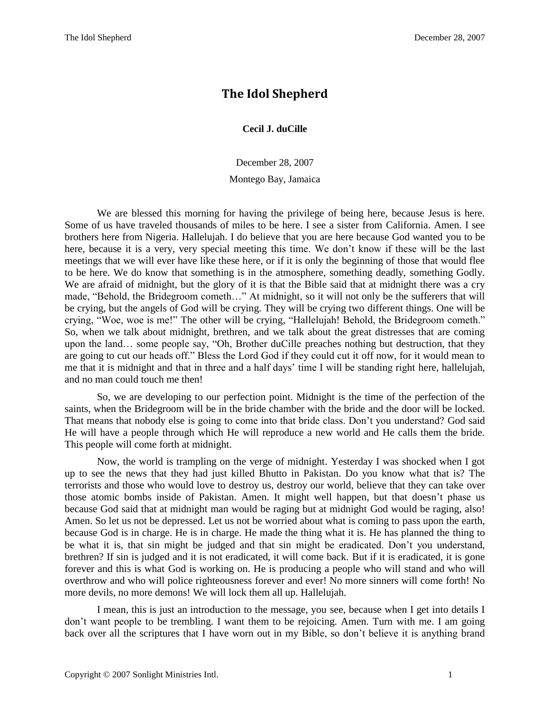## **The Idol Shepherd**

**Cecil J. duCille**

December 28, 2007

Montego Bay, Jamaica

We are blessed this morning for having the privilege of being here, because Jesus is here. Some of us have traveled thousands of miles to be here. I see a sister from California. Amen. I see brothers here from Nigeria. Hallelujah. I do believe that you are here because God wanted you to be here, because it is a very, very special meeting this time. We don't know if these will be the last meetings that we will ever have like these here, or if it is only the beginning of those that would flee to be here. We do know that something is in the atmosphere, something deadly, something Godly. We are afraid of midnight, but the glory of it is that the Bible said that at midnight there was a cry made, "Behold, the Bridegroom cometh…" At midnight, so it will not only be the sufferers that will be crying, but the angels of God will be crying. They will be crying two different things. One will be crying, "Woe, woe is me!" The other will be crying, "Hallelujah! Behold, the Bridegroom cometh." So, when we talk about midnight, brethren, and we talk about the great distresses that are coming upon the land… some people say, "Oh, Brother duCille preaches nothing but destruction, that they are going to cut our heads off." Bless the Lord God if they could cut it off now, for it would mean to me that it is midnight and that in three and a half days' time I will be standing right here, hallelujah, and no man could touch me then!

So, we are developing to our perfection point. Midnight is the time of the perfection of the saints, when the Bridegroom will be in the bride chamber with the bride and the door will be locked. That means that nobody else is going to come into that bride class. Don't you understand? God said He will have a people through which He will reproduce a new world and He calls them the bride. This people will come forth at midnight.

Now, the world is trampling on the verge of midnight. Yesterday I was shocked when I got up to see the news that they had just killed Bhutto in Pakistan. Do you know what that is? The terrorists and those who would love to destroy us, destroy our world, believe that they can take over those atomic bombs inside of Pakistan. Amen. It might well happen, but that doesn't phase us because God said that at midnight man would be raging but at midnight God would be raging, also! Amen. So let us not be depressed. Let us not be worried about what is coming to pass upon the earth, because God is in charge. He is in charge. He made the thing what it is. He has planned the thing to be what it is, that sin might be judged and that sin might be eradicated. Don't you understand, brethren? If sin is judged and it is not eradicated, it will come back. But if it is eradicated, it is gone forever and this is what God is working on. He is producing a people who will stand and who will overthrow and who will police righteousness forever and ever! No more sinners will come forth! No more devils, no more demons! We will lock them all up. Hallelujah.

I mean, this is just an introduction to the message, you see, because when I get into details I don't want people to be trembling. I want them to be rejoicing. Amen. Turn with me. I am going back over all the scriptures that I have worn out in my Bible, so don't believe it is anything brand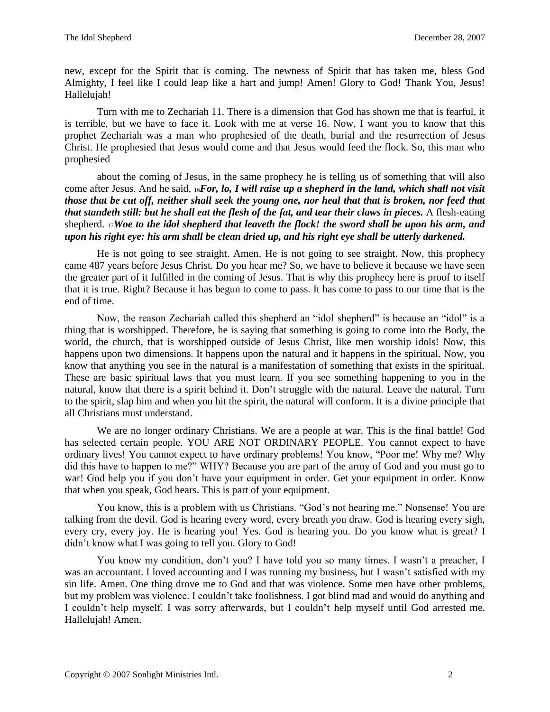new, except for the Spirit that is coming. The newness of Spirit that has taken me, bless God Almighty, I feel like I could leap like a hart and jump! Amen! Glory to God! Thank You, Jesus! Hallelujah!

Turn with me to Zechariah 11. There is a dimension that God has shown me that is fearful, it is terrible, but we have to face it. Look with me at verse 16. Now, I want you to know that this prophet Zechariah was a man who prophesied of the death, burial and the resurrection of Jesus Christ. He prophesied that Jesus would come and that Jesus would feed the flock. So, this man who prophesied

about the coming of Jesus, in the same prophecy he is telling us of something that will also come after Jesus. And he said, 16*For, lo, I will raise up a shepherd in the land, which shall not visit those that be cut off, neither shall seek the young one, nor heal that that is broken, nor feed that that standeth still: but he shall eat the flesh of the fat, and tear their claws in pieces.* A flesh-eating shepherd. <sup>17</sup>*Woe to the idol shepherd that leaveth the flock! the sword shall be upon his arm, and upon his right eye: his arm shall be clean dried up, and his right eye shall be utterly darkened.*

He is not going to see straight. Amen. He is not going to see straight. Now, this prophecy came 487 years before Jesus Christ. Do you hear me? So, we have to believe it because we have seen the greater part of it fulfilled in the coming of Jesus. That is why this prophecy here is proof to itself that it is true. Right? Because it has begun to come to pass. It has come to pass to our time that is the end of time.

Now, the reason Zechariah called this shepherd an "idol shepherd" is because an "idol" is a thing that is worshipped. Therefore, he is saying that something is going to come into the Body, the world, the church, that is worshipped outside of Jesus Christ, like men worship idols! Now, this happens upon two dimensions. It happens upon the natural and it happens in the spiritual. Now, you know that anything you see in the natural is a manifestation of something that exists in the spiritual. These are basic spiritual laws that you must learn. If you see something happening to you in the natural, know that there is a spirit behind it. Don't struggle with the natural. Leave the natural. Turn to the spirit, slap him and when you hit the spirit, the natural will conform. It is a divine principle that all Christians must understand.

We are no longer ordinary Christians. We are a people at war. This is the final battle! God has selected certain people. YOU ARE NOT ORDINARY PEOPLE. You cannot expect to have ordinary lives! You cannot expect to have ordinary problems! You know, "Poor me! Why me? Why did this have to happen to me?" WHY? Because you are part of the army of God and you must go to war! God help you if you don't have your equipment in order. Get your equipment in order. Know that when you speak, God hears. This is part of your equipment.

You know, this is a problem with us Christians. "God's not hearing me." Nonsense! You are talking from the devil. God is hearing every word, every breath you draw. God is hearing every sigh, every cry, every joy. He is hearing you! Yes. God is hearing you. Do you know what is great? I didn't know what I was going to tell you. Glory to God!

You know my condition, don't you? I have told you so many times. I wasn't a preacher, I was an accountant. I loved accounting and I was running my business, but I wasn't satisfied with my sin life. Amen. One thing drove me to God and that was violence. Some men have other problems, but my problem was violence. I couldn't take foolishness. I got blind mad and would do anything and I couldn't help myself. I was sorry afterwards, but I couldn't help myself until God arrested me. Hallelujah! Amen.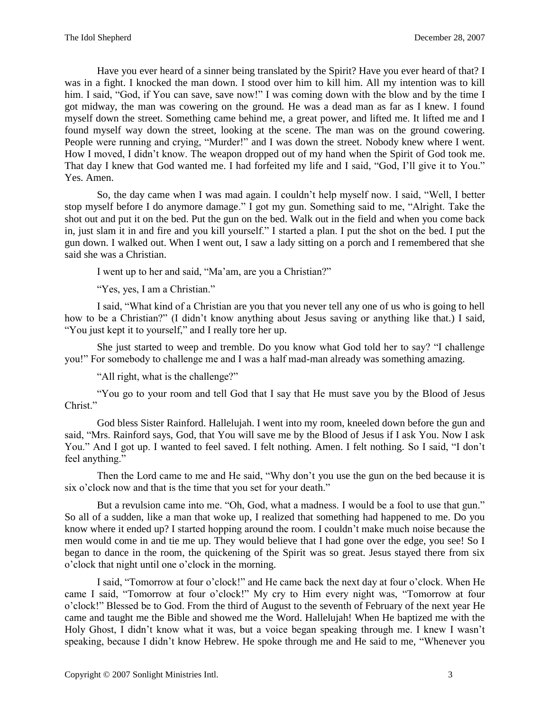Have you ever heard of a sinner being translated by the Spirit? Have you ever heard of that? I was in a fight. I knocked the man down. I stood over him to kill him. All my intention was to kill him. I said, "God, if You can save, save now!" I was coming down with the blow and by the time I got midway, the man was cowering on the ground. He was a dead man as far as I knew. I found myself down the street. Something came behind me, a great power, and lifted me. It lifted me and I found myself way down the street, looking at the scene. The man was on the ground cowering. People were running and crying, "Murder!" and I was down the street. Nobody knew where I went. How I moved, I didn't know. The weapon dropped out of my hand when the Spirit of God took me. That day I knew that God wanted me. I had forfeited my life and I said, "God, I'll give it to You." Yes. Amen.

So, the day came when I was mad again. I couldn't help myself now. I said, "Well, I better stop myself before I do anymore damage." I got my gun. Something said to me, "Alright. Take the shot out and put it on the bed. Put the gun on the bed. Walk out in the field and when you come back in, just slam it in and fire and you kill yourself." I started a plan. I put the shot on the bed. I put the gun down. I walked out. When I went out, I saw a lady sitting on a porch and I remembered that she said she was a Christian.

I went up to her and said, "Ma'am, are you a Christian?"

"Yes, yes, I am a Christian."

I said, "What kind of a Christian are you that you never tell any one of us who is going to hell how to be a Christian?" (I didn't know anything about Jesus saving or anything like that.) I said, "You just kept it to yourself," and I really tore her up.

She just started to weep and tremble. Do you know what God told her to say? "I challenge you!" For somebody to challenge me and I was a half mad-man already was something amazing.

"All right, what is the challenge?"

"You go to your room and tell God that I say that He must save you by the Blood of Jesus Christ."

God bless Sister Rainford. Hallelujah. I went into my room, kneeled down before the gun and said, "Mrs. Rainford says, God, that You will save me by the Blood of Jesus if I ask You. Now I ask You." And I got up. I wanted to feel saved. I felt nothing. Amen. I felt nothing. So I said, "I don't feel anything."

Then the Lord came to me and He said, "Why don't you use the gun on the bed because it is six o'clock now and that is the time that you set for your death."

But a revulsion came into me. "Oh, God, what a madness. I would be a fool to use that gun." So all of a sudden, like a man that woke up, I realized that something had happened to me. Do you know where it ended up? I started hopping around the room. I couldn't make much noise because the men would come in and tie me up. They would believe that I had gone over the edge, you see! So I began to dance in the room, the quickening of the Spirit was so great. Jesus stayed there from six o'clock that night until one o'clock in the morning.

I said, "Tomorrow at four o'clock!" and He came back the next day at four o'clock. When He came I said, "Tomorrow at four o'clock!" My cry to Him every night was, "Tomorrow at four o'clock!" Blessed be to God. From the third of August to the seventh of February of the next year He came and taught me the Bible and showed me the Word. Hallelujah! When He baptized me with the Holy Ghost, I didn't know what it was, but a voice began speaking through me. I knew I wasn't speaking, because I didn't know Hebrew. He spoke through me and He said to me, "Whenever you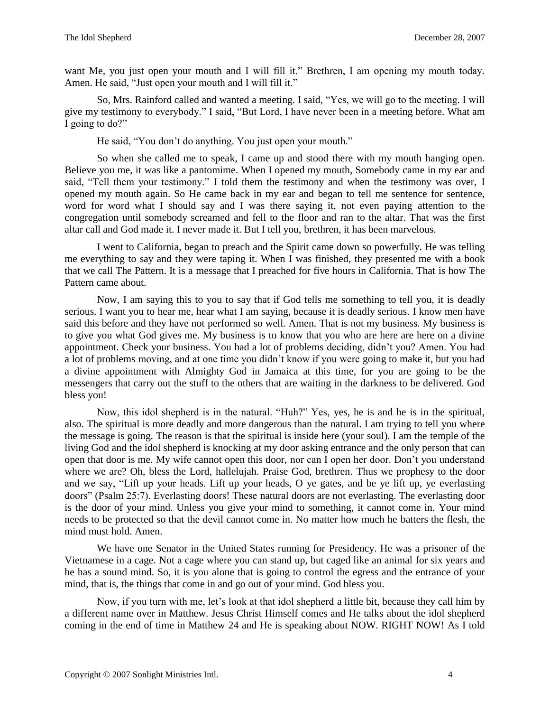want Me, you just open your mouth and I will fill it." Brethren, I am opening my mouth today. Amen. He said, "Just open your mouth and I will fill it."

So, Mrs. Rainford called and wanted a meeting. I said, "Yes, we will go to the meeting. I will give my testimony to everybody." I said, "But Lord, I have never been in a meeting before. What am I going to do?"

He said, "You don't do anything. You just open your mouth."

So when she called me to speak, I came up and stood there with my mouth hanging open. Believe you me, it was like a pantomime. When I opened my mouth, Somebody came in my ear and said, "Tell them your testimony." I told them the testimony and when the testimony was over, I opened my mouth again. So He came back in my ear and began to tell me sentence for sentence, word for word what I should say and I was there saying it, not even paying attention to the congregation until somebody screamed and fell to the floor and ran to the altar. That was the first altar call and God made it. I never made it. But I tell you, brethren, it has been marvelous.

I went to California, began to preach and the Spirit came down so powerfully. He was telling me everything to say and they were taping it. When I was finished, they presented me with a book that we call The Pattern. It is a message that I preached for five hours in California. That is how The Pattern came about.

Now, I am saying this to you to say that if God tells me something to tell you, it is deadly serious. I want you to hear me, hear what I am saying, because it is deadly serious. I know men have said this before and they have not performed so well. Amen. That is not my business. My business is to give you what God gives me. My business is to know that you who are here are here on a divine appointment. Check your business. You had a lot of problems deciding, didn't you? Amen. You had a lot of problems moving, and at one time you didn't know if you were going to make it, but you had a divine appointment with Almighty God in Jamaica at this time, for you are going to be the messengers that carry out the stuff to the others that are waiting in the darkness to be delivered. God bless you!

Now, this idol shepherd is in the natural. "Huh?" Yes, yes, he is and he is in the spiritual, also. The spiritual is more deadly and more dangerous than the natural. I am trying to tell you where the message is going. The reason is that the spiritual is inside here (your soul). I am the temple of the living God and the idol shepherd is knocking at my door asking entrance and the only person that can open that door is me. My wife cannot open this door, nor can I open her door. Don't you understand where we are? Oh, bless the Lord, hallelujah. Praise God, brethren. Thus we prophesy to the door and we say, "Lift up your heads. Lift up your heads, O ye gates, and be ye lift up, ye everlasting doors" (Psalm 25:7). Everlasting doors! These natural doors are not everlasting. The everlasting door is the door of your mind. Unless you give your mind to something, it cannot come in. Your mind needs to be protected so that the devil cannot come in. No matter how much he batters the flesh, the mind must hold. Amen.

We have one Senator in the United States running for Presidency. He was a prisoner of the Vietnamese in a cage. Not a cage where you can stand up, but caged like an animal for six years and he has a sound mind. So, it is you alone that is going to control the egress and the entrance of your mind, that is, the things that come in and go out of your mind. God bless you.

Now, if you turn with me, let's look at that idol shepherd a little bit, because they call him by a different name over in Matthew. Jesus Christ Himself comes and He talks about the idol shepherd coming in the end of time in Matthew 24 and He is speaking about NOW. RIGHT NOW! As I told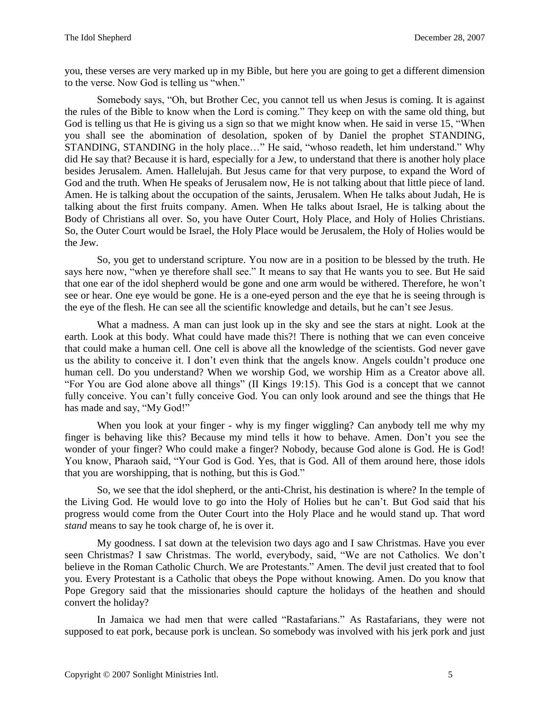you, these verses are very marked up in my Bible, but here you are going to get a different dimension to the verse. Now God is telling us "when."

Somebody says, "Oh, but Brother Cec, you cannot tell us when Jesus is coming. It is against the rules of the Bible to know when the Lord is coming." They keep on with the same old thing, but God is telling us that He is giving us a sign so that we might know when. He said in verse 15, "When you shall see the abomination of desolation, spoken of by Daniel the prophet STANDING, STANDING, STANDING in the holy place…" He said, "whoso readeth, let him understand." Why did He say that? Because it is hard, especially for a Jew, to understand that there is another holy place besides Jerusalem. Amen. Hallelujah. But Jesus came for that very purpose, to expand the Word of God and the truth. When He speaks of Jerusalem now, He is not talking about that little piece of land. Amen. He is talking about the occupation of the saints, Jerusalem. When He talks about Judah, He is talking about the first fruits company. Amen. When He talks about Israel, He is talking about the Body of Christians all over. So, you have Outer Court, Holy Place, and Holy of Holies Christians. So, the Outer Court would be Israel, the Holy Place would be Jerusalem, the Holy of Holies would be the Jew.

So, you get to understand scripture. You now are in a position to be blessed by the truth. He says here now, "when ye therefore shall see." It means to say that He wants you to see. But He said that one ear of the idol shepherd would be gone and one arm would be withered. Therefore, he won't see or hear. One eye would be gone. He is a one-eyed person and the eye that he is seeing through is the eye of the flesh. He can see all the scientific knowledge and details, but he can't see Jesus.

What a madness. A man can just look up in the sky and see the stars at night. Look at the earth. Look at this body. What could have made this?! There is nothing that we can even conceive that could make a human cell. One cell is above all the knowledge of the scientists. God never gave us the ability to conceive it. I don't even think that the angels know. Angels couldn't produce one human cell. Do you understand? When we worship God, we worship Him as a Creator above all. "For You are God alone above all things" (II Kings 19:15). This God is a concept that we cannot fully conceive. You can't fully conceive God. You can only look around and see the things that He has made and say, "My God!"

When you look at your finger - why is my finger wiggling? Can anybody tell me why my finger is behaving like this? Because my mind tells it how to behave. Amen. Don't you see the wonder of your finger? Who could make a finger? Nobody, because God alone is God. He is God! You know, Pharaoh said, "Your God is God. Yes, that is God. All of them around here, those idols that you are worshipping, that is nothing, but this is God."

So, we see that the idol shepherd, or the anti-Christ, his destination is where? In the temple of the Living God. He would love to go into the Holy of Holies but he can't. But God said that his progress would come from the Outer Court into the Holy Place and he would stand up. That word *stand* means to say he took charge of, he is over it.

My goodness. I sat down at the television two days ago and I saw Christmas. Have you ever seen Christmas? I saw Christmas. The world, everybody, said, "We are not Catholics. We don't believe in the Roman Catholic Church. We are Protestants." Amen. The devil just created that to fool you. Every Protestant is a Catholic that obeys the Pope without knowing. Amen. Do you know that Pope Gregory said that the missionaries should capture the holidays of the heathen and should convert the holiday?

In Jamaica we had men that were called "Rastafarians." As Rastafarians, they were not supposed to eat pork, because pork is unclean. So somebody was involved with his jerk pork and just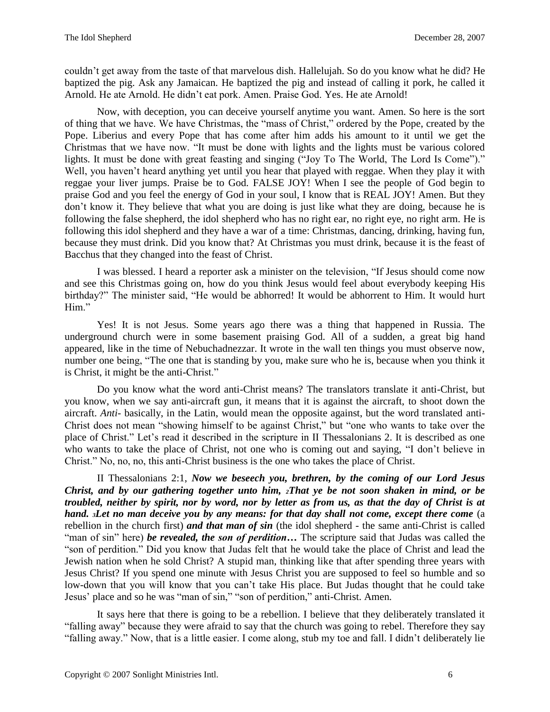couldn't get away from the taste of that marvelous dish. Hallelujah. So do you know what he did? He baptized the pig. Ask any Jamaican. He baptized the pig and instead of calling it pork, he called it Arnold. He ate Arnold. He didn't eat pork. Amen. Praise God. Yes. He ate Arnold!

Now, with deception, you can deceive yourself anytime you want. Amen. So here is the sort of thing that we have. We have Christmas, the "mass of Christ," ordered by the Pope, created by the Pope. Liberius and every Pope that has come after him adds his amount to it until we get the Christmas that we have now. "It must be done with lights and the lights must be various colored lights. It must be done with great feasting and singing ("Joy To The World, The Lord Is Come")." Well, you haven't heard anything yet until you hear that played with reggae. When they play it with reggae your liver jumps. Praise be to God. FALSE JOY! When I see the people of God begin to praise God and you feel the energy of God in your soul, I know that is REAL JOY! Amen. But they don't know it. They believe that what you are doing is just like what they are doing, because he is following the false shepherd, the idol shepherd who has no right ear, no right eye, no right arm. He is following this idol shepherd and they have a war of a time: Christmas, dancing, drinking, having fun, because they must drink. Did you know that? At Christmas you must drink, because it is the feast of Bacchus that they changed into the feast of Christ.

I was blessed. I heard a reporter ask a minister on the television, "If Jesus should come now and see this Christmas going on, how do you think Jesus would feel about everybody keeping His birthday?" The minister said, "He would be abhorred! It would be abhorrent to Him. It would hurt Him."

Yes! It is not Jesus. Some years ago there was a thing that happened in Russia. The underground church were in some basement praising God. All of a sudden, a great big hand appeared, like in the time of Nebuchadnezzar. It wrote in the wall ten things you must observe now, number one being, "The one that is standing by you, make sure who he is, because when you think it is Christ, it might be the anti-Christ."

Do you know what the word anti-Christ means? The translators translate it anti-Christ, but you know, when we say anti-aircraft gun, it means that it is against the aircraft, to shoot down the aircraft. *Anti*- basically, in the Latin, would mean the opposite against, but the word translated anti-Christ does not mean "showing himself to be against Christ," but "one who wants to take over the place of Christ." Let's read it described in the scripture in II Thessalonians 2. It is described as one who wants to take the place of Christ, not one who is coming out and saying, "I don't believe in Christ." No, no, no, this anti-Christ business is the one who takes the place of Christ.

II Thessalonians 2:1, *Now we beseech you, brethren, by the coming of our Lord Jesus Christ, and by our gathering together unto him, 2That ye be not soon shaken in mind, or be troubled, neither by spirit, nor by word, nor by letter as from us, as that the day of Christ is at hand. <sup>3</sup>Let no man deceive you by any means: for that day shall not come, except there come* (a rebellion in the church first) *and that man of sin* (the idol shepherd - the same anti-Christ is called "man of sin" here) *be revealed, the son of perdition…* The scripture said that Judas was called the "son of perdition." Did you know that Judas felt that he would take the place of Christ and lead the Jewish nation when he sold Christ? A stupid man, thinking like that after spending three years with Jesus Christ? If you spend one minute with Jesus Christ you are supposed to feel so humble and so low-down that you will know that you can't take His place. But Judas thought that he could take Jesus' place and so he was "man of sin," "son of perdition," anti-Christ. Amen.

It says here that there is going to be a rebellion. I believe that they deliberately translated it "falling away" because they were afraid to say that the church was going to rebel. Therefore they say "falling away." Now, that is a little easier. I come along, stub my toe and fall. I didn't deliberately lie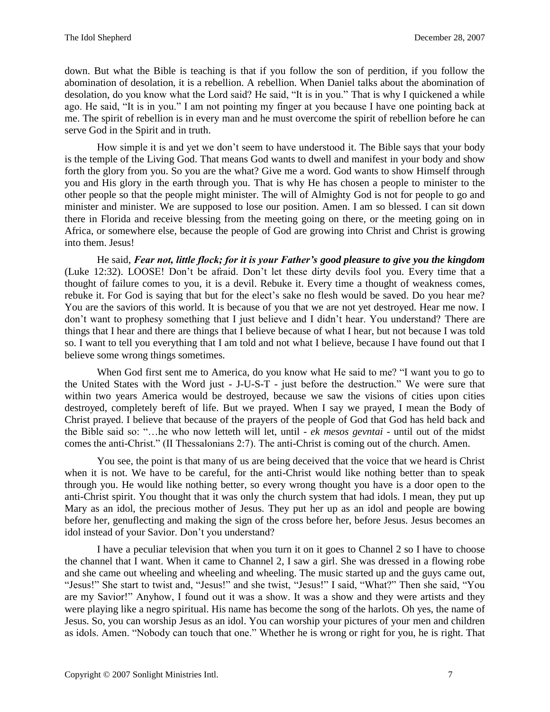down. But what the Bible is teaching is that if you follow the son of perdition, if you follow the abomination of desolation, it is a rebellion. A rebellion. When Daniel talks about the abomination of desolation, do you know what the Lord said? He said, "It is in you." That is why I quickened a while ago. He said, "It is in you." I am not pointing my finger at you because I have one pointing back at me. The spirit of rebellion is in every man and he must overcome the spirit of rebellion before he can serve God in the Spirit and in truth.

How simple it is and yet we don't seem to have understood it. The Bible says that your body is the temple of the Living God. That means God wants to dwell and manifest in your body and show forth the glory from you. So you are the what? Give me a word. God wants to show Himself through you and His glory in the earth through you. That is why He has chosen a people to minister to the other people so that the people might minister. The will of Almighty God is not for people to go and minister and minister. We are supposed to lose our position. Amen. I am so blessed. I can sit down there in Florida and receive blessing from the meeting going on there, or the meeting going on in Africa, or somewhere else, because the people of God are growing into Christ and Christ is growing into them. Jesus!

He said, *Fear not, little flock; for it is your Father's good pleasure to give you the kingdom*  (Luke 12:32). LOOSE! Don't be afraid. Don't let these dirty devils fool you. Every time that a thought of failure comes to you, it is a devil. Rebuke it. Every time a thought of weakness comes, rebuke it. For God is saying that but for the elect's sake no flesh would be saved. Do you hear me? You are the saviors of this world. It is because of you that we are not yet destroyed. Hear me now. I don't want to prophesy something that I just believe and I didn't hear. You understand? There are things that I hear and there are things that I believe because of what I hear, but not because I was told so. I want to tell you everything that I am told and not what I believe, because I have found out that I believe some wrong things sometimes.

When God first sent me to America, do you know what He said to me? "I want you to go to the United States with the Word just - J-U-S-T - just before the destruction." We were sure that within two years America would be destroyed, because we saw the visions of cities upon cities destroyed, completely bereft of life. But we prayed. When I say we prayed, I mean the Body of Christ prayed. I believe that because of the prayers of the people of God that God has held back and the Bible said so: "…he who now letteth will let, until - *ek mesos gevntai* - until out of the midst comes the anti-Christ." (II Thessalonians 2:7). The anti-Christ is coming out of the church. Amen.

You see, the point is that many of us are being deceived that the voice that we heard is Christ when it is not. We have to be careful, for the anti-Christ would like nothing better than to speak through you. He would like nothing better, so every wrong thought you have is a door open to the anti-Christ spirit. You thought that it was only the church system that had idols. I mean, they put up Mary as an idol, the precious mother of Jesus. They put her up as an idol and people are bowing before her, genuflecting and making the sign of the cross before her, before Jesus. Jesus becomes an idol instead of your Savior. Don't you understand?

I have a peculiar television that when you turn it on it goes to Channel 2 so I have to choose the channel that I want. When it came to Channel 2, I saw a girl. She was dressed in a flowing robe and she came out wheeling and wheeling and wheeling. The music started up and the guys came out, "Jesus!" She start to twist and, "Jesus!" and she twist, "Jesus!" I said, "What?" Then she said, "You are my Savior!" Anyhow, I found out it was a show. It was a show and they were artists and they were playing like a negro spiritual. His name has become the song of the harlots. Oh yes, the name of Jesus. So, you can worship Jesus as an idol. You can worship your pictures of your men and children as idols. Amen. "Nobody can touch that one." Whether he is wrong or right for you, he is right. That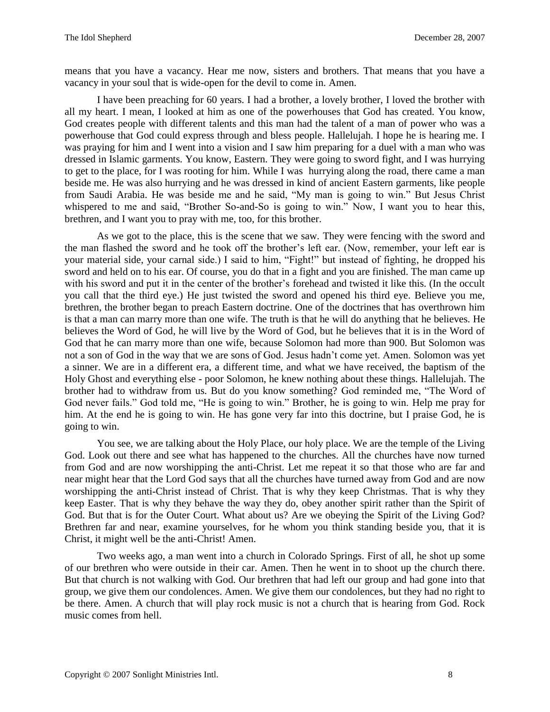means that you have a vacancy. Hear me now, sisters and brothers. That means that you have a vacancy in your soul that is wide-open for the devil to come in. Amen.

I have been preaching for 60 years. I had a brother, a lovely brother, I loved the brother with all my heart. I mean, I looked at him as one of the powerhouses that God has created. You know, God creates people with different talents and this man had the talent of a man of power who was a powerhouse that God could express through and bless people. Hallelujah. I hope he is hearing me. I was praying for him and I went into a vision and I saw him preparing for a duel with a man who was dressed in Islamic garments. You know, Eastern. They were going to sword fight, and I was hurrying to get to the place, for I was rooting for him. While I was hurrying along the road, there came a man beside me. He was also hurrying and he was dressed in kind of ancient Eastern garments, like people from Saudi Arabia. He was beside me and he said, "My man is going to win." But Jesus Christ whispered to me and said, "Brother So-and-So is going to win." Now, I want you to hear this, brethren, and I want you to pray with me, too, for this brother.

As we got to the place, this is the scene that we saw. They were fencing with the sword and the man flashed the sword and he took off the brother's left ear. (Now, remember, your left ear is your material side, your carnal side.) I said to him, "Fight!" but instead of fighting, he dropped his sword and held on to his ear. Of course, you do that in a fight and you are finished. The man came up with his sword and put it in the center of the brother's forehead and twisted it like this. (In the occult you call that the third eye.) He just twisted the sword and opened his third eye. Believe you me, brethren, the brother began to preach Eastern doctrine. One of the doctrines that has overthrown him is that a man can marry more than one wife. The truth is that he will do anything that he believes. He believes the Word of God, he will live by the Word of God, but he believes that it is in the Word of God that he can marry more than one wife, because Solomon had more than 900. But Solomon was not a son of God in the way that we are sons of God. Jesus hadn't come yet. Amen. Solomon was yet a sinner. We are in a different era, a different time, and what we have received, the baptism of the Holy Ghost and everything else - poor Solomon, he knew nothing about these things. Hallelujah. The brother had to withdraw from us. But do you know something? God reminded me, "The Word of God never fails." God told me, "He is going to win." Brother, he is going to win. Help me pray for him. At the end he is going to win. He has gone very far into this doctrine, but I praise God, he is going to win.

You see, we are talking about the Holy Place, our holy place. We are the temple of the Living God. Look out there and see what has happened to the churches. All the churches have now turned from God and are now worshipping the anti-Christ. Let me repeat it so that those who are far and near might hear that the Lord God says that all the churches have turned away from God and are now worshipping the anti-Christ instead of Christ. That is why they keep Christmas. That is why they keep Easter. That is why they behave the way they do, obey another spirit rather than the Spirit of God. But that is for the Outer Court. What about us? Are we obeying the Spirit of the Living God? Brethren far and near, examine yourselves, for he whom you think standing beside you, that it is Christ, it might well be the anti-Christ! Amen.

Two weeks ago, a man went into a church in Colorado Springs. First of all, he shot up some of our brethren who were outside in their car. Amen. Then he went in to shoot up the church there. But that church is not walking with God. Our brethren that had left our group and had gone into that group, we give them our condolences. Amen. We give them our condolences, but they had no right to be there. Amen. A church that will play rock music is not a church that is hearing from God. Rock music comes from hell.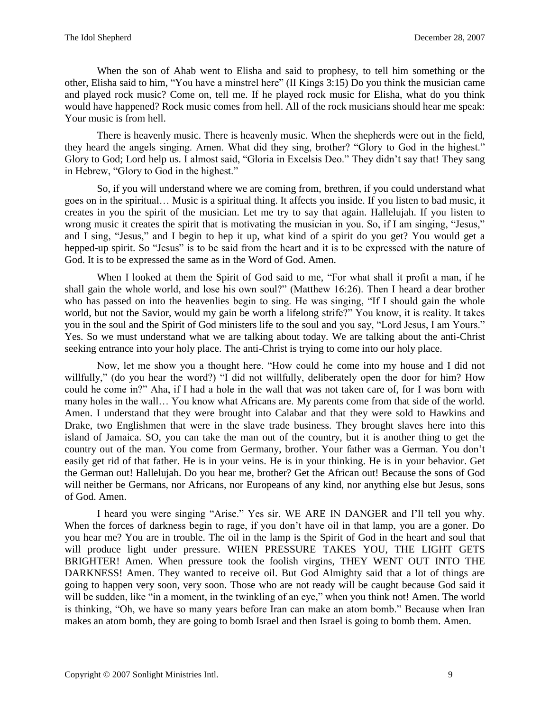When the son of Ahab went to Elisha and said to prophesy, to tell him something or the other, Elisha said to him, "You have a minstrel here" (II Kings 3:15) Do you think the musician came and played rock music? Come on, tell me. If he played rock music for Elisha, what do you think would have happened? Rock music comes from hell. All of the rock musicians should hear me speak: Your music is from hell.

There is heavenly music. There is heavenly music. When the shepherds were out in the field, they heard the angels singing. Amen. What did they sing, brother? "Glory to God in the highest." Glory to God; Lord help us. I almost said, "Gloria in Excelsis Deo." They didn't say that! They sang in Hebrew, "Glory to God in the highest."

So, if you will understand where we are coming from, brethren, if you could understand what goes on in the spiritual… Music is a spiritual thing. It affects you inside. If you listen to bad music, it creates in you the spirit of the musician. Let me try to say that again. Hallelujah. If you listen to wrong music it creates the spirit that is motivating the musician in you. So, if I am singing, "Jesus," and I sing, "Jesus," and I begin to hep it up, what kind of a spirit do you get? You would get a hepped-up spirit. So "Jesus" is to be said from the heart and it is to be expressed with the nature of God. It is to be expressed the same as in the Word of God. Amen.

When I looked at them the Spirit of God said to me, "For what shall it profit a man, if he shall gain the whole world, and lose his own soul?" (Matthew 16:26). Then I heard a dear brother who has passed on into the heavenlies begin to sing. He was singing, "If I should gain the whole world, but not the Savior, would my gain be worth a lifelong strife?" You know, it is reality. It takes you in the soul and the Spirit of God ministers life to the soul and you say, "Lord Jesus, I am Yours." Yes. So we must understand what we are talking about today. We are talking about the anti-Christ seeking entrance into your holy place. The anti-Christ is trying to come into our holy place.

Now, let me show you a thought here. "How could he come into my house and I did not willfully," (do you hear the word?) "I did not willfully, deliberately open the door for him? How could he come in?" Aha, if I had a hole in the wall that was not taken care of, for I was born with many holes in the wall… You know what Africans are. My parents come from that side of the world. Amen. I understand that they were brought into Calabar and that they were sold to Hawkins and Drake, two Englishmen that were in the slave trade business. They brought slaves here into this island of Jamaica. SO, you can take the man out of the country, but it is another thing to get the country out of the man. You come from Germany, brother. Your father was a German. You don't easily get rid of that father. He is in your veins. He is in your thinking. He is in your behavior. Get the German out! Hallelujah. Do you hear me, brother? Get the African out! Because the sons of God will neither be Germans, nor Africans, nor Europeans of any kind, nor anything else but Jesus, sons of God. Amen.

I heard you were singing "Arise." Yes sir. WE ARE IN DANGER and I'll tell you why. When the forces of darkness begin to rage, if you don't have oil in that lamp, you are a goner. Do you hear me? You are in trouble. The oil in the lamp is the Spirit of God in the heart and soul that will produce light under pressure. WHEN PRESSURE TAKES YOU, THE LIGHT GETS BRIGHTER! Amen. When pressure took the foolish virgins, THEY WENT OUT INTO THE DARKNESS! Amen. They wanted to receive oil. But God Almighty said that a lot of things are going to happen very soon, very soon. Those who are not ready will be caught because God said it will be sudden, like "in a moment, in the twinkling of an eye," when you think not! Amen. The world is thinking, "Oh, we have so many years before Iran can make an atom bomb." Because when Iran makes an atom bomb, they are going to bomb Israel and then Israel is going to bomb them. Amen.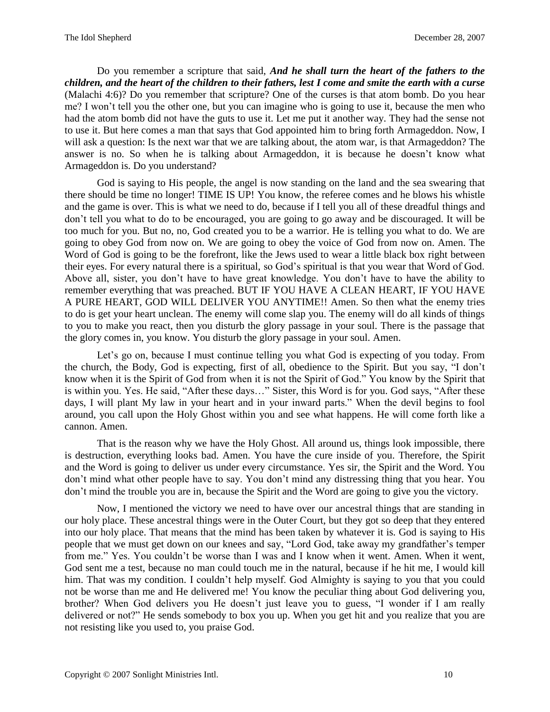Do you remember a scripture that said, *And he shall turn the heart of the fathers to the children, and the heart of the children to their fathers, lest I come and smite the earth with a curse* (Malachi 4:6)? Do you remember that scripture? One of the curses is that atom bomb. Do you hear me? I won't tell you the other one, but you can imagine who is going to use it, because the men who had the atom bomb did not have the guts to use it. Let me put it another way. They had the sense not to use it. But here comes a man that says that God appointed him to bring forth Armageddon. Now, I will ask a question: Is the next war that we are talking about, the atom war, is that Armageddon? The answer is no. So when he is talking about Armageddon, it is because he doesn't know what Armageddon is. Do you understand?

God is saying to His people, the angel is now standing on the land and the sea swearing that there should be time no longer! TIME IS UP! You know, the referee comes and he blows his whistle and the game is over. This is what we need to do, because if I tell you all of these dreadful things and don't tell you what to do to be encouraged, you are going to go away and be discouraged. It will be too much for you. But no, no, God created you to be a warrior. He is telling you what to do. We are going to obey God from now on. We are going to obey the voice of God from now on. Amen. The Word of God is going to be the forefront, like the Jews used to wear a little black box right between their eyes. For every natural there is a spiritual, so God's spiritual is that you wear that Word of God. Above all, sister, you don't have to have great knowledge. You don't have to have the ability to remember everything that was preached. BUT IF YOU HAVE A CLEAN HEART, IF YOU HAVE A PURE HEART, GOD WILL DELIVER YOU ANYTIME!! Amen. So then what the enemy tries to do is get your heart unclean. The enemy will come slap you. The enemy will do all kinds of things to you to make you react, then you disturb the glory passage in your soul. There is the passage that the glory comes in, you know. You disturb the glory passage in your soul. Amen.

Let's go on, because I must continue telling you what God is expecting of you today. From the church, the Body, God is expecting, first of all, obedience to the Spirit. But you say, "I don't know when it is the Spirit of God from when it is not the Spirit of God." You know by the Spirit that is within you. Yes. He said, "After these days…" Sister, this Word is for you. God says, "After these days, I will plant My law in your heart and in your inward parts." When the devil begins to fool around, you call upon the Holy Ghost within you and see what happens. He will come forth like a cannon. Amen.

That is the reason why we have the Holy Ghost. All around us, things look impossible, there is destruction, everything looks bad. Amen. You have the cure inside of you. Therefore, the Spirit and the Word is going to deliver us under every circumstance. Yes sir, the Spirit and the Word. You don't mind what other people have to say. You don't mind any distressing thing that you hear. You don't mind the trouble you are in, because the Spirit and the Word are going to give you the victory.

Now, I mentioned the victory we need to have over our ancestral things that are standing in our holy place. These ancestral things were in the Outer Court, but they got so deep that they entered into our holy place. That means that the mind has been taken by whatever it is. God is saying to His people that we must get down on our knees and say, "Lord God, take away my grandfather's temper from me." Yes. You couldn't be worse than I was and I know when it went. Amen. When it went, God sent me a test, because no man could touch me in the natural, because if he hit me, I would kill him. That was my condition. I couldn't help myself. God Almighty is saying to you that you could not be worse than me and He delivered me! You know the peculiar thing about God delivering you, brother? When God delivers you He doesn't just leave you to guess, "I wonder if I am really delivered or not?" He sends somebody to box you up. When you get hit and you realize that you are not resisting like you used to, you praise God.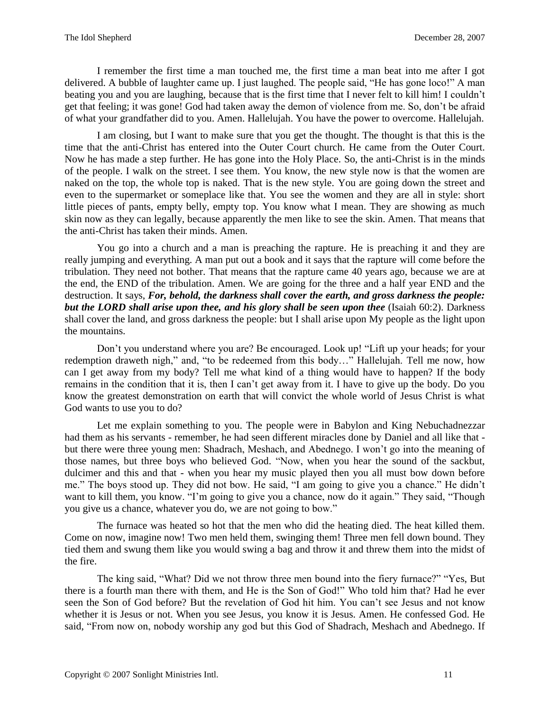I remember the first time a man touched me, the first time a man beat into me after I got delivered. A bubble of laughter came up. I just laughed. The people said, "He has gone loco!" A man beating you and you are laughing, because that is the first time that I never felt to kill him! I couldn't get that feeling; it was gone! God had taken away the demon of violence from me. So, don't be afraid of what your grandfather did to you. Amen. Hallelujah. You have the power to overcome. Hallelujah.

I am closing, but I want to make sure that you get the thought. The thought is that this is the time that the anti-Christ has entered into the Outer Court church. He came from the Outer Court. Now he has made a step further. He has gone into the Holy Place. So, the anti-Christ is in the minds of the people. I walk on the street. I see them. You know, the new style now is that the women are naked on the top, the whole top is naked. That is the new style. You are going down the street and even to the supermarket or someplace like that. You see the women and they are all in style: short little pieces of pants, empty belly, empty top. You know what I mean. They are showing as much skin now as they can legally, because apparently the men like to see the skin. Amen. That means that the anti-Christ has taken their minds. Amen.

You go into a church and a man is preaching the rapture. He is preaching it and they are really jumping and everything. A man put out a book and it says that the rapture will come before the tribulation. They need not bother. That means that the rapture came 40 years ago, because we are at the end, the END of the tribulation. Amen. We are going for the three and a half year END and the destruction. It says, *For, behold, the darkness shall cover the earth, and gross darkness the people: but the LORD shall arise upon thee, and his glory shall be seen upon thee* (Isaiah 60:2). Darkness shall cover the land, and gross darkness the people: but I shall arise upon My people as the light upon the mountains.

Don't you understand where you are? Be encouraged. Look up! "Lift up your heads; for your redemption draweth nigh," and, "to be redeemed from this body…" Hallelujah. Tell me now, how can I get away from my body? Tell me what kind of a thing would have to happen? If the body remains in the condition that it is, then I can't get away from it. I have to give up the body. Do you know the greatest demonstration on earth that will convict the whole world of Jesus Christ is what God wants to use you to do?

Let me explain something to you. The people were in Babylon and King Nebuchadnezzar had them as his servants - remember, he had seen different miracles done by Daniel and all like that but there were three young men: Shadrach, Meshach, and Abednego. I won't go into the meaning of those names, but three boys who believed God. "Now, when you hear the sound of the sackbut, dulcimer and this and that - when you hear my music played then you all must bow down before me." The boys stood up. They did not bow. He said, "I am going to give you a chance." He didn't want to kill them, you know. "I'm going to give you a chance, now do it again." They said, "Though you give us a chance, whatever you do, we are not going to bow."

The furnace was heated so hot that the men who did the heating died. The heat killed them. Come on now, imagine now! Two men held them, swinging them! Three men fell down bound. They tied them and swung them like you would swing a bag and throw it and threw them into the midst of the fire.

The king said, "What? Did we not throw three men bound into the fiery furnace?" "Yes, But there is a fourth man there with them, and He is the Son of God!" Who told him that? Had he ever seen the Son of God before? But the revelation of God hit him. You can't see Jesus and not know whether it is Jesus or not. When you see Jesus, you know it is Jesus. Amen. He confessed God. He said, "From now on, nobody worship any god but this God of Shadrach, Meshach and Abednego. If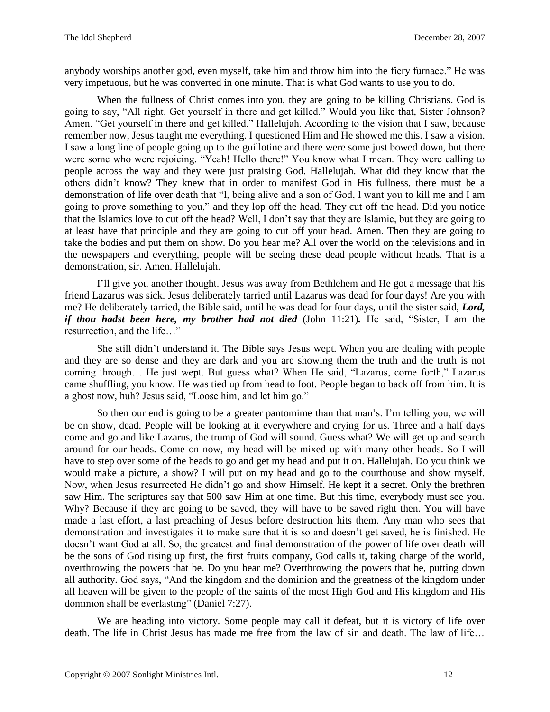anybody worships another god, even myself, take him and throw him into the fiery furnace." He was very impetuous, but he was converted in one minute. That is what God wants to use you to do.

When the fullness of Christ comes into you, they are going to be killing Christians. God is going to say, "All right. Get yourself in there and get killed." Would you like that, Sister Johnson? Amen. "Get yourself in there and get killed." Hallelujah. According to the vision that I saw, because remember now, Jesus taught me everything. I questioned Him and He showed me this. I saw a vision. I saw a long line of people going up to the guillotine and there were some just bowed down, but there were some who were rejoicing. "Yeah! Hello there!" You know what I mean. They were calling to people across the way and they were just praising God. Hallelujah. What did they know that the others didn't know? They knew that in order to manifest God in His fullness, there must be a demonstration of life over death that "I, being alive and a son of God, I want you to kill me and I am going to prove something to you," and they lop off the head. They cut off the head. Did you notice that the Islamics love to cut off the head? Well, I don't say that they are Islamic, but they are going to at least have that principle and they are going to cut off your head. Amen. Then they are going to take the bodies and put them on show. Do you hear me? All over the world on the televisions and in the newspapers and everything, people will be seeing these dead people without heads. That is a demonstration, sir. Amen. Hallelujah.

I'll give you another thought. Jesus was away from Bethlehem and He got a message that his friend Lazarus was sick. Jesus deliberately tarried until Lazarus was dead for four days! Are you with me? He deliberately tarried, the Bible said, until he was dead for four days, until the sister said, *Lord, if thou hadst been here, my brother had not died* (John 11:21)*.* He said, "Sister, I am the resurrection, and the life…"

She still didn't understand it. The Bible says Jesus wept. When you are dealing with people and they are so dense and they are dark and you are showing them the truth and the truth is not coming through… He just wept. But guess what? When He said, "Lazarus, come forth," Lazarus came shuffling, you know. He was tied up from head to foot. People began to back off from him. It is a ghost now, huh? Jesus said, "Loose him, and let him go."

So then our end is going to be a greater pantomime than that man's. I'm telling you, we will be on show, dead. People will be looking at it everywhere and crying for us. Three and a half days come and go and like Lazarus, the trump of God will sound. Guess what? We will get up and search around for our heads. Come on now, my head will be mixed up with many other heads. So I will have to step over some of the heads to go and get my head and put it on. Hallelujah. Do you think we would make a picture, a show? I will put on my head and go to the courthouse and show myself. Now, when Jesus resurrected He didn't go and show Himself. He kept it a secret. Only the brethren saw Him. The scriptures say that 500 saw Him at one time. But this time, everybody must see you. Why? Because if they are going to be saved, they will have to be saved right then. You will have made a last effort, a last preaching of Jesus before destruction hits them. Any man who sees that demonstration and investigates it to make sure that it is so and doesn't get saved, he is finished. He doesn't want God at all. So, the greatest and final demonstration of the power of life over death will be the sons of God rising up first, the first fruits company, God calls it, taking charge of the world, overthrowing the powers that be. Do you hear me? Overthrowing the powers that be, putting down all authority. God says, "And the kingdom and the dominion and the greatness of the kingdom under all heaven will be given to the people of the saints of the most High God and His kingdom and His dominion shall be everlasting" (Daniel 7:27).

We are heading into victory. Some people may call it defeat, but it is victory of life over death. The life in Christ Jesus has made me free from the law of sin and death. The law of life…